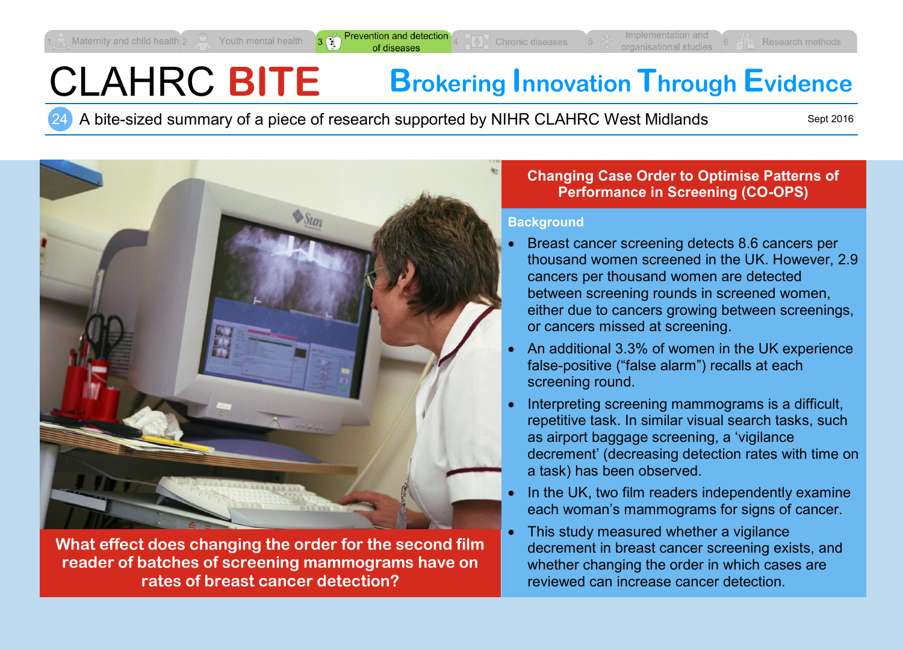# CLAHRC **BITE Brokering Innovation Through Evidence**

24 A bite-sized summary of a piece of research supported by NIHR CLAHRC West Midlands

Sept 2016



**What effect does changing the order for the second film reader of batches of screening mammograms have on rates of breast cancer detection?**

#### **Changing Case Order to Optimise Patterns of Performance in Screening (CO-OPS)**

#### **Background**

- Breast cancer screening detects 8.6 cancers per thousand women screened in the UK. However, 2.9 cancers per thousand women are detected between screening rounds in screened women, either due to cancers growing between screenings, or cancers missed at screening.
- An additional 3.3% of women in the UK experience false-positive ("false alarm") recalls at each screening round.
- Interpreting screening mammograms is a difficult, repetitive task. In similar visual search tasks, such as airport baggage screening, a 'vigilance decrement' (decreasing detection rates with time on a task) has been observed.
- In the UK, two film readers independently examine each woman's mammograms for signs of cancer.
- This study measured whether a vigilance decrement in breast cancer screening exists, and whether changing the order in which cases are reviewed can increase cancer detection.